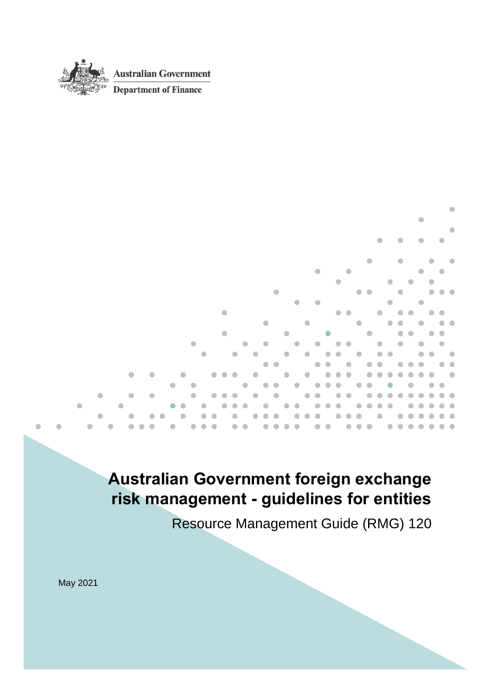

# <span id="page-0-0"></span>**Australian Government foreign exchange risk management - guidelines for entities**

Resource Management Guide (RMG) 120

۵

May 2021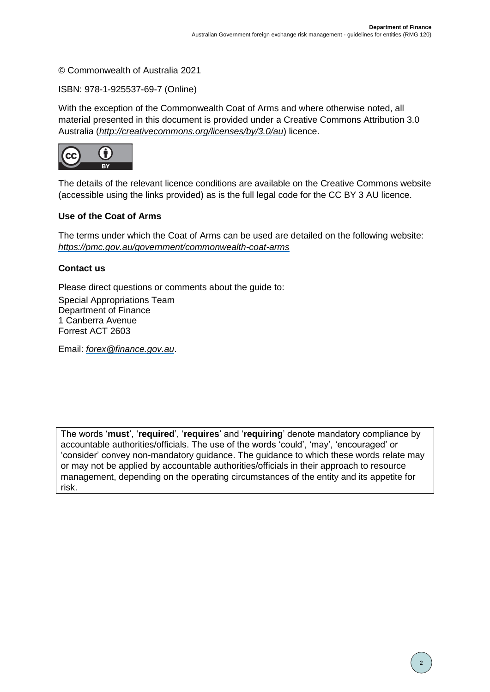#### © Commonwealth of Australia 2021

ISBN: 978-1-925537-69-7 (Online)

With the exception of the Commonwealth Coat of Arms and where otherwise noted, all material presented in this document is provided under a Creative Commons Attribution 3.0 Australia (*[http://creativecommons.org/licenses/by/3.0/au](http://creativecommons.org/licenses/by/3.0/au/)*) licence.



The details of the relevant licence conditions are available on the Creative Commons website (accessible using the links provided) as is the full legal code for the CC BY 3 AU licence.

#### **Use of the Coat of Arms**

The terms under which the Coat of Arms can be used are detailed on the following website: *<https://pmc.gov.au/government/commonwealth-coat-arms>*

#### **Contact us**

Please direct questions or comments about the guide to:

Special Appropriations Team Department of Finance 1 Canberra Avenue Forrest ACT 2603

Email: *[forex@finance.gov.au](mailto:forex@finance.gov.au)*.

The words '**must**', '**required**', '**requires**' and '**requiring**' denote mandatory compliance by accountable authorities/officials. The use of the words 'could', 'may', 'encouraged' or 'consider' convey non-mandatory guidance. The guidance to which these words relate may or may not be applied by accountable authorities/officials in their approach to resource management, depending on the operating circumstances of the entity and its appetite for risk.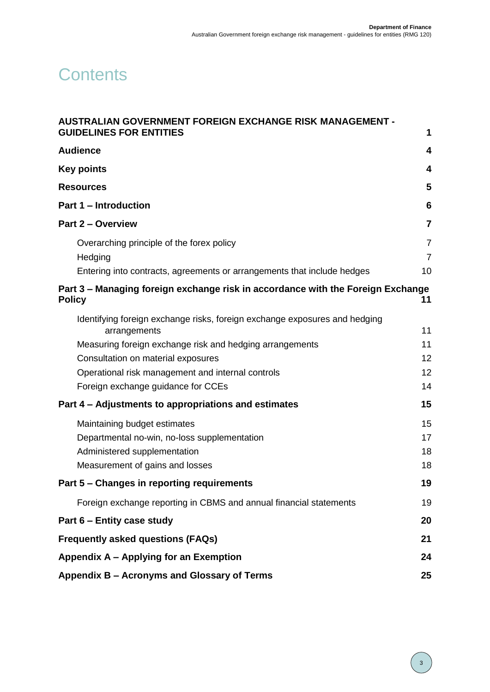# **Contents**

| <b>AUSTRALIAN GOVERNMENT FOREIGN EXCHANGE RISK MANAGEMENT -</b>                                  |                                  |
|--------------------------------------------------------------------------------------------------|----------------------------------|
| <b>GUIDELINES FOR ENTITIES</b>                                                                   | 1                                |
| <b>Audience</b>                                                                                  | 4                                |
| <b>Key points</b>                                                                                | 4                                |
| <b>Resources</b>                                                                                 | 5                                |
| <b>Part 1 - Introduction</b>                                                                     | $6\phantom{1}6$                  |
| Part 2 - Overview                                                                                | $\overline{\mathbf{7}}$          |
| Overarching principle of the forex policy<br>Hedging                                             | $\overline{7}$<br>$\overline{7}$ |
| Entering into contracts, agreements or arrangements that include hedges                          | 10                               |
| Part 3 - Managing foreign exchange risk in accordance with the Foreign Exchange<br><b>Policy</b> | 11                               |
| Identifying foreign exchange risks, foreign exchange exposures and hedging<br>arrangements       | 11                               |
| Measuring foreign exchange risk and hedging arrangements                                         | 11                               |
| Consultation on material exposures                                                               | 12                               |
| Operational risk management and internal controls                                                | 12                               |
| Foreign exchange guidance for CCEs                                                               | 14                               |
| Part 4 – Adjustments to appropriations and estimates                                             | 15                               |
| Maintaining budget estimates                                                                     | 15                               |
| Departmental no-win, no-loss supplementation                                                     | 17                               |
| Administered supplementation                                                                     | 18                               |
| Measurement of gains and losses                                                                  | 18                               |
| Part 5 - Changes in reporting requirements                                                       | 19                               |
| Foreign exchange reporting in CBMS and annual financial statements                               | 19                               |
| Part 6 - Entity case study                                                                       | 20                               |
| <b>Frequently asked questions (FAQs)</b>                                                         | 21                               |
| Appendix A - Applying for an Exemption                                                           | 24                               |
| Appendix B - Acronyms and Glossary of Terms                                                      | 25                               |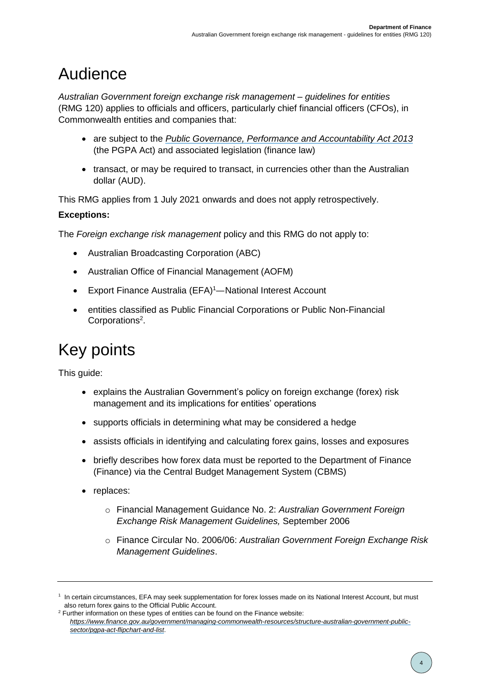# <span id="page-3-0"></span>Audience

*Australian Government foreign exchange risk management – guidelines for entities*  (RMG 120) applies to officials and officers, particularly chief financial officers (CFOs), in Commonwealth entities and companies that:

- are subject to the *[Public Governance, Performance and Accountability Act 2013](https://www.legislation.gov.au/Series/C2017C00269)* (the PGPA Act) and associated legislation (finance law)
- transact, or may be required to transact, in currencies other than the Australian dollar (AUD).

This RMG applies from 1 July 2021 onwards and does not apply retrospectively.

## **Exceptions:**

The *Foreign exchange risk management* policy and this RMG do not apply to:

- Australian Broadcasting Corporation (ABC)
- Australian Office of Financial Management (AOFM)
- Export Finance Australia (EFA)<sup>1</sup>—National Interest Account
- entities classified as Public Financial Corporations or Public Non-Financial Corporations<sup>2</sup>.

# <span id="page-3-1"></span>Key points

This guide:

- explains the Australian Government's policy on foreign exchange (forex) risk management and its implications for entities' operations
- supports officials in determining what may be considered a hedge
- assists officials in identifying and calculating forex gains, losses and exposures
- briefly describes how forex data must be reported to the Department of Finance (Finance) via the Central Budget Management System (CBMS)
- replaces:
	- o Financial Management Guidance No. 2: *Australian Government Foreign Exchange Risk Management Guidelines,* September 2006
	- o Finance Circular No. 2006/06: *Australian Government Foreign Exchange Risk Management Guidelines*.

<sup>&</sup>lt;sup>1</sup> In certain circumstances, EFA may seek supplementation for forex losses made on its National Interest Account, but must also return forex gains to the Official Public Account.

<sup>&</sup>lt;sup>2</sup> Further information on these types of entities can be found on the Finance website: *[https://www.finance.gov.au/government/managing-commonwealth-resources/structure-australian-government-public](https://www.finance.gov.au/government/managing-commonwealth-resources/structure-australian-government-public-sector/pgpa-act-flipchart-and-list)[sector/pgpa-act-flipchart-and-list](https://www.finance.gov.au/government/managing-commonwealth-resources/structure-australian-government-public-sector/pgpa-act-flipchart-and-list)*.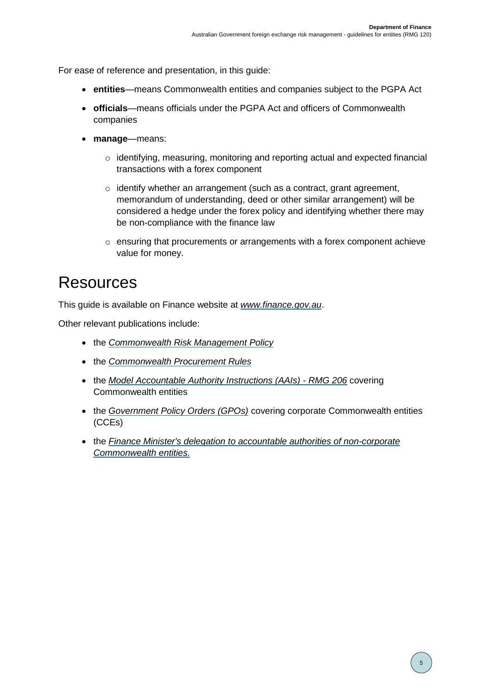For ease of reference and presentation, in this guide:

- **entities**—means Commonwealth entities and companies subject to the PGPA Act
- **officials**—means officials under the PGPA Act and officers of Commonwealth companies
- **manage**—means:
	- o identifying, measuring, monitoring and reporting actual and expected financial transactions with a forex component
	- o identify whether an arrangement (such as a contract, grant agreement, memorandum of understanding, deed or other similar arrangement) will be considered a hedge under the forex policy and identifying whether there may be non-compliance with the finance law
	- $\circ$  ensuring that procurements or arrangements with a forex component achieve value for money.

## <span id="page-4-0"></span>Resources

This guide is available on Finance website at *[www.finance.gov.au](http://www.finance.gov.au/)*.

Other relevant publications include:

- the *[Commonwealth Risk Management Policy](https://www.finance.gov.au/government/comcover/commonwealth-risk-management-policy)*
- the *[Commonwealth Procurement Rules](https://www.legislation.gov.au/Series/F2019L00536)*
- the *Model Accountable [Authority Instructions](https://www.finance.gov.au/government/managing-commonwealth-resources/managing-risk-internal-accountability/duties/risk-internal-controls/accountable-authority-instructions-aais-rmg-206) (AAIs) - RMG 206* covering Commonwealth entities
- the *[Government Policy Orders \(GPOs\)](https://www.finance.gov.au/government/managing-commonwealth-resources/pgpa-legislation-associated-instruments-and-policies)* covering corporate Commonwealth entities (CCEs)
- the *[Finance Minister's delegation](https://www.finance.gov.au/government/managing-commonwealth-resources/pgpa-legislation-associated-instruments-and-policies) to accountable authorities of non-corporate Commonwealth entities.*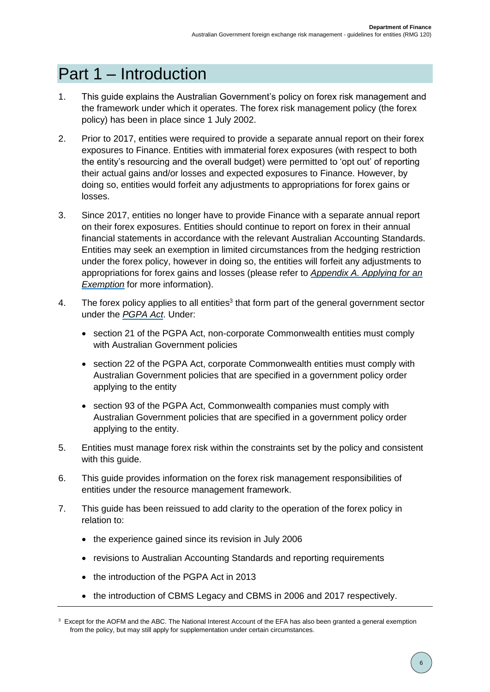# <span id="page-5-0"></span>Part 1 – Introduction

- 1. This guide explains the Australian Government's policy on forex risk management and the framework under which it operates. The forex risk management policy (the forex policy) has been in place since 1 July 2002.
- 2. Prior to 2017, entities were required to provide a separate annual report on their forex exposures to Finance. Entities with immaterial forex exposures (with respect to both the entity's resourcing and the overall budget) were permitted to 'opt out' of reporting their actual gains and/or losses and expected exposures to Finance. However, by doing so, entities would forfeit any adjustments to appropriations for forex gains or losses.
- 3. Since 2017, entities no longer have to provide Finance with a separate annual report on their forex exposures. Entities should continue to report on forex in their annual financial statements in accordance with the relevant Australian Accounting Standards. Entities may seek an exemption in limited circumstances from the hedging restriction under the forex policy, however in doing so, the entities will forfeit any adjustments to appropriations for forex gains and losses (please refer to *[Appendix A. Applying for an](#page-23-0)  [Exemption](#page-23-0)* for more information).
- 4. The forex policy applies to all entities<sup>3</sup> that form part of the general government sector under the *[PGPA Act](https://www.legislation.gov.au/Details/C2017C00269)*. Under:
	- section 21 of the PGPA Act, non-corporate Commonwealth entities must comply with Australian Government policies
	- section 22 of the PGPA Act, corporate Commonwealth entities must comply with Australian Government policies that are specified in a government policy order applying to the entity
	- section 93 of the PGPA Act, Commonwealth companies must comply with Australian Government policies that are specified in a government policy order applying to the entity.
- 5. Entities must manage forex risk within the constraints set by the policy and consistent with this guide.
- 6. This guide provides information on the forex risk management responsibilities of entities under the resource management framework.
- 7. This guide has been reissued to add clarity to the operation of the forex policy in relation to:
	- the experience gained since its revision in July 2006
	- revisions to Australian Accounting Standards and reporting requirements
	- the introduction of the PGPA Act in 2013
	- the introduction of CBMS Legacy and CBMS in 2006 and 2017 respectively.

 $3$  Except for the AOFM and the ABC. The National Interest Account of the EFA has also been granted a general exemption from the policy, but may still apply for supplementation under certain circumstances.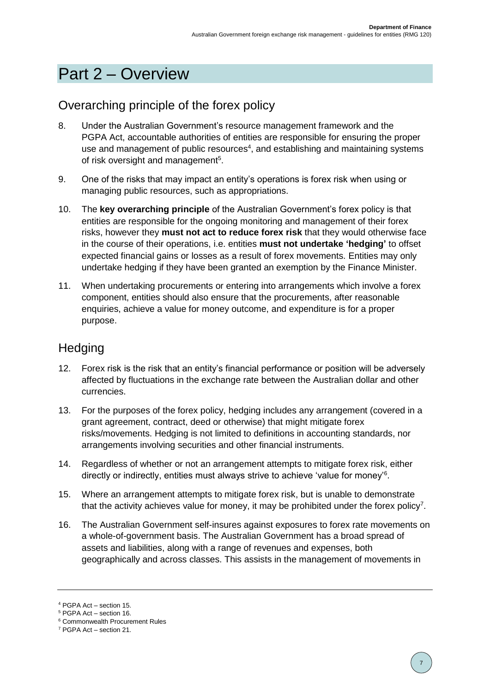# <span id="page-6-0"></span>Part 2 – Overview

## <span id="page-6-1"></span>Overarching principle of the forex policy

- 8. Under the Australian Government's resource management framework and the PGPA Act, accountable authorities of entities are responsible for ensuring the proper use and management of public resources<sup>4</sup>, and establishing and maintaining systems of risk oversight and management<sup>5</sup>.
- 9. One of the risks that may impact an entity's operations is forex risk when using or managing public resources, such as appropriations.
- 10. The **key overarching principle** of the Australian Government's forex policy is that entities are responsible for the ongoing monitoring and management of their forex risks, however they **must not act to reduce forex risk** that they would otherwise face in the course of their operations, i.e. entities **must not undertake 'hedging'** to offset expected financial gains or losses as a result of forex movements. Entities may only undertake hedging if they have been granted an exemption by the Finance Minister.
- 11. When undertaking procurements or entering into arrangements which involve a forex component, entities should also ensure that the procurements, after reasonable enquiries, achieve a value for money outcome, and expenditure is for a proper purpose.

## <span id="page-6-2"></span>**Hedging**

- 12. Forex risk is the risk that an entity's financial performance or position will be adversely affected by fluctuations in the exchange rate between the Australian dollar and other currencies.
- 13. For the purposes of the forex policy, hedging includes any arrangement (covered in a grant agreement, contract, deed or otherwise) that might mitigate forex risks/movements. Hedging is not limited to definitions in accounting standards, nor arrangements involving securities and other financial instruments.
- 14. Regardless of whether or not an arrangement attempts to mitigate forex risk, either directly or indirectly, entities must always strive to achieve 'value for money'<sup>6</sup>.
- 15. Where an arrangement attempts to mitigate forex risk, but is unable to demonstrate that the activity achieves value for money, it may be prohibited under the forex policy<sup>7</sup>.
- 16. The Australian Government self-insures against exposures to forex rate movements on a whole-of-government basis. The Australian Government has a broad spread of assets and liabilities, along with a range of revenues and expenses, both geographically and across classes. This assists in the management of movements in

<sup>4</sup> PGPA Act – section 15.

<sup>5</sup> PGPA Act – section 16.

<sup>6</sup> Commonwealth Procurement Rules

<sup>7</sup> PGPA Act – section 21.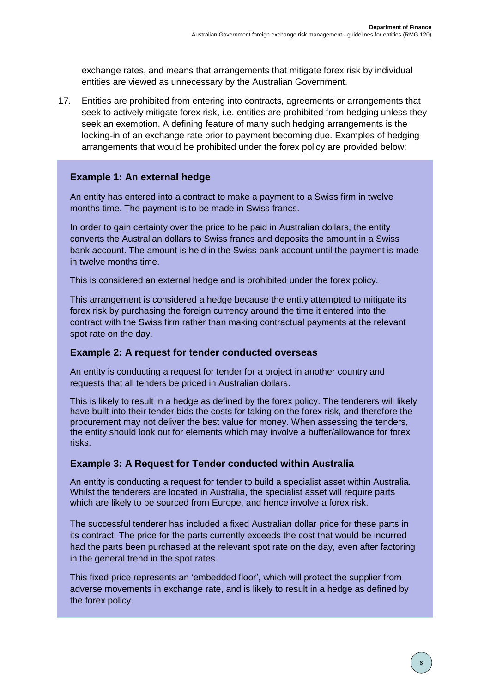exchange rates, and means that arrangements that mitigate forex risk by individual entities are viewed as unnecessary by the Australian Government.

17. Entities are prohibited from entering into contracts, agreements or arrangements that seek to actively mitigate forex risk, i.e. entities are prohibited from hedging unless they seek an exemption. A defining feature of many such hedging arrangements is the locking-in of an exchange rate prior to payment becoming due. Examples of hedging arrangements that would be prohibited under the forex policy are provided below:

#### **Example 1: An external hedge**

An entity has entered into a contract to make a payment to a Swiss firm in twelve months time. The payment is to be made in Swiss francs.

In order to gain certainty over the price to be paid in Australian dollars, the entity converts the Australian dollars to Swiss francs and deposits the amount in a Swiss bank account. The amount is held in the Swiss bank account until the payment is made in twelve months time.

This is considered an external hedge and is prohibited under the forex policy.

This arrangement is considered a hedge because the entity attempted to mitigate its forex risk by purchasing the foreign currency around the time it entered into the contract with the Swiss firm rather than making contractual payments at the relevant spot rate on the day.

#### **Example 2: A request for tender conducted overseas**

An entity is conducting a request for tender for a project in another country and requests that all tenders be priced in Australian dollars.

This is likely to result in a hedge as defined by the forex policy. The tenderers will likely have built into their tender bids the costs for taking on the forex risk, and therefore the procurement may not deliver the best value for money. When assessing the tenders, the entity should look out for elements which may involve a buffer/allowance for forex risks.

#### **Example 3: A Request for Tender conducted within Australia**

An entity is conducting a request for tender to build a specialist asset within Australia. Whilst the tenderers are located in Australia, the specialist asset will require parts which are likely to be sourced from Europe, and hence involve a forex risk.

The successful tenderer has included a fixed Australian dollar price for these parts in its contract. The price for the parts currently exceeds the cost that would be incurred had the parts been purchased at the relevant spot rate on the day, even after factoring in the general trend in the spot rates.

This fixed price represents an 'embedded floor', which will protect the supplier from adverse movements in exchange rate, and is likely to result in a hedge as defined by the forex policy.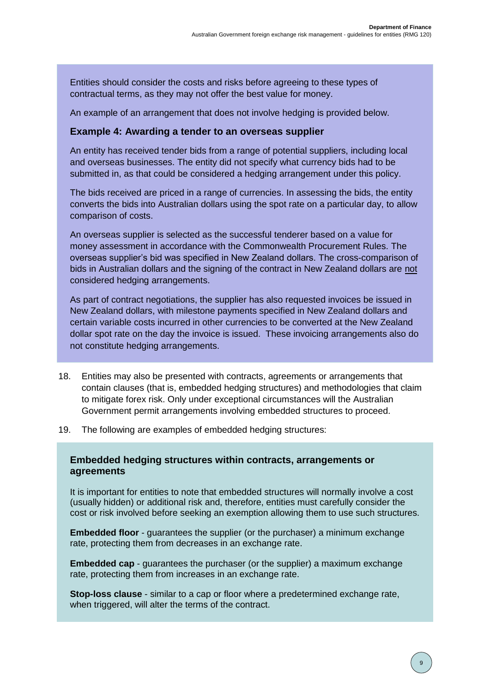Entities should consider the costs and risks before agreeing to these types of contractual terms, as they may not offer the best value for money.

An example of an arrangement that does not involve hedging is provided below.

#### **Example 4: Awarding a tender to an overseas supplier**

An entity has received tender bids from a range of potential suppliers, including local and overseas businesses. The entity did not specify what currency bids had to be submitted in, as that could be considered a hedging arrangement under this policy.

The bids received are priced in a range of currencies. In assessing the bids, the entity converts the bids into Australian dollars using the spot rate on a particular day, to allow comparison of costs.

An overseas supplier is selected as the successful tenderer based on a value for money assessment in accordance with the Commonwealth Procurement Rules. The overseas supplier's bid was specified in New Zealand dollars. The cross-comparison of bids in Australian dollars and the signing of the contract in New Zealand dollars are not considered hedging arrangements.

As part of contract negotiations, the supplier has also requested invoices be issued in New Zealand dollars, with milestone payments specified in New Zealand dollars and certain variable costs incurred in other currencies to be converted at the New Zealand dollar spot rate on the day the invoice is issued. These invoicing arrangements also do not constitute hedging arrangements.

- 18. Entities may also be presented with contracts, agreements or arrangements that contain clauses (that is, embedded hedging structures) and methodologies that claim to mitigate forex risk. Only under exceptional circumstances will the Australian Government permit arrangements involving embedded structures to proceed.
- 19. The following are examples of embedded hedging structures:

#### **Embedded hedging structures within contracts, arrangements or agreements**

It is important for entities to note that embedded structures will normally involve a cost (usually hidden) or additional risk and, therefore, entities must carefully consider the cost or risk involved before seeking an exemption allowing them to use such structures.

**Embedded floor** - guarantees the supplier (or the purchaser) a minimum exchange rate, protecting them from decreases in an exchange rate.

**Embedded cap** - guarantees the purchaser (or the supplier) a maximum exchange rate, protecting them from increases in an exchange rate.

**Stop-loss clause** - similar to a cap or floor where a predetermined exchange rate, when triggered, will alter the terms of the contract.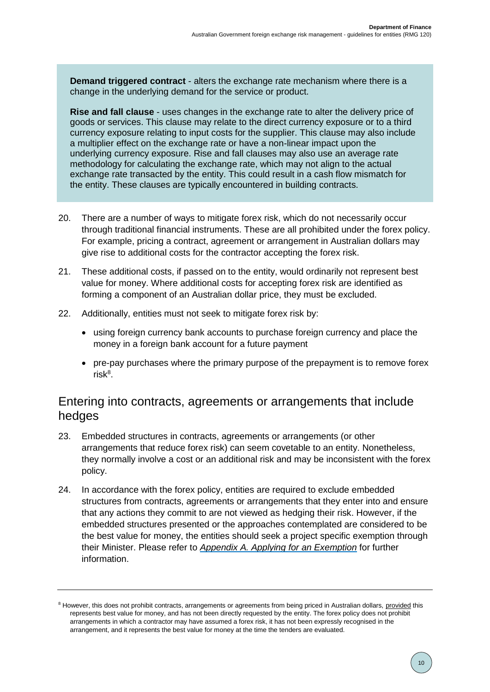**Demand triggered contract** - alters the exchange rate mechanism where there is a change in the underlying demand for the service or product.

**Rise and fall clause** - uses changes in the exchange rate to alter the delivery price of goods or services. This clause may relate to the direct currency exposure or to a third currency exposure relating to input costs for the supplier. This clause may also include a multiplier effect on the exchange rate or have a non-linear impact upon the underlying currency exposure. Rise and fall clauses may also use an average rate methodology for calculating the exchange rate, which may not align to the actual exchange rate transacted by the entity. This could result in a cash flow mismatch for the entity. These clauses are typically encountered in building contracts.

- 20. There are a number of ways to mitigate forex risk, which do not necessarily occur through traditional financial instruments. These are all prohibited under the forex policy. For example, pricing a contract, agreement or arrangement in Australian dollars may give rise to additional costs for the contractor accepting the forex risk.
- 21. These additional costs, if passed on to the entity, would ordinarily not represent best value for money. Where additional costs for accepting forex risk are identified as forming a component of an Australian dollar price, they must be excluded.
- 22. Additionally, entities must not seek to mitigate forex risk by:
	- using foreign currency bank accounts to purchase foreign currency and place the money in a foreign bank account for a future payment
	- pre-pay purchases where the primary purpose of the prepayment is to remove forex  $risk^8$ .

## <span id="page-9-0"></span>Entering into contracts, agreements or arrangements that include hedges

- 23. Embedded structures in contracts, agreements or arrangements (or other arrangements that reduce forex risk) can seem covetable to an entity. Nonetheless, they normally involve a cost or an additional risk and may be inconsistent with the forex policy.
- 24. In accordance with the forex policy, entities are required to exclude embedded structures from contracts, agreements or arrangements that they enter into and ensure that any actions they commit to are not viewed as hedging their risk. However, if the embedded structures presented or the approaches contemplated are considered to be the best value for money, the entities should seek a project specific exemption through their Minister. Please refer to *[Appendix A. Applying for](#page-23-0) an Exemption* for further information.

<sup>&</sup>lt;sup>8</sup> However, this does not prohibit contracts, arrangements or agreements from being priced in Australian dollars, provided this represents best value for money, and has not been directly requested by the entity. The forex policy does not prohibit arrangements in which a contractor may have assumed a forex risk, it has not been expressly recognised in the arrangement, and it represents the best value for money at the time the tenders are evaluated.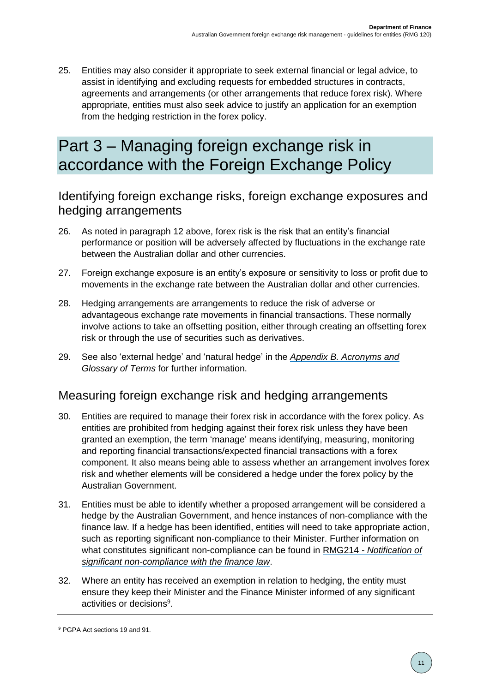25. Entities may also consider it appropriate to seek external financial or legal advice, to assist in identifying and excluding requests for embedded structures in contracts, agreements and arrangements (or other arrangements that reduce forex risk). Where appropriate, entities must also seek advice to justify an application for an exemption from the hedging restriction in the forex policy.

## <span id="page-10-0"></span>Part 3 – Managing foreign exchange risk in accordance with the Foreign Exchange Policy

## <span id="page-10-1"></span>Identifying foreign exchange risks, foreign exchange exposures and hedging arrangements

- 26. As noted in paragraph 12 above, forex risk is the risk that an entity's financial performance or position will be adversely affected by fluctuations in the exchange rate between the Australian dollar and other currencies.
- 27. Foreign exchange exposure is an entity's exposure or sensitivity to loss or profit due to movements in the exchange rate between the Australian dollar and other currencies.
- 28. Hedging arrangements are arrangements to reduce the risk of adverse or advantageous exchange rate movements in financial transactions. These normally involve actions to take an offsetting position, either through creating an offsetting forex risk or through the use of securities such as derivatives.
- 29. See also 'external hedge' and 'natural hedge' in the *[Appendix B. Acronyms and](#page-24-0)  [Glossary of Terms](#page-24-0)* for further information.

## <span id="page-10-2"></span>Measuring foreign exchange risk and hedging arrangements

- 30. Entities are required to manage their forex risk in accordance with the forex policy. As entities are prohibited from hedging against their forex risk unless they have been granted an exemption, the term 'manage' means identifying, measuring, monitoring and reporting financial transactions/expected financial transactions with a forex component. It also means being able to assess whether an arrangement involves forex risk and whether elements will be considered a hedge under the forex policy by the Australian Government.
- 31. Entities must be able to identify whether a proposed arrangement will be considered a hedge by the Australian Government, and hence instances of non-compliance with the finance law. If a hedge has been identified, entities will need to take appropriate action, such as reporting significant non-compliance to their Minister. Further information on what constitutes significant non-compliance can be found in RMG214 *- [Notification of](https://www.finance.gov.au/government/managing-commonwealth-resources/notification-significant-non-compliance-finance-law-rmg-214)  [significant non-compliance with the finance law](https://www.finance.gov.au/government/managing-commonwealth-resources/notification-significant-non-compliance-finance-law-rmg-214)*.
- 32. Where an entity has received an exemption in relation to hedging, the entity must ensure they keep their Minister and the Finance Minister informed of any significant activities or decisions<sup>9</sup>.

<sup>9</sup> PGPA Act sections 19 and 91.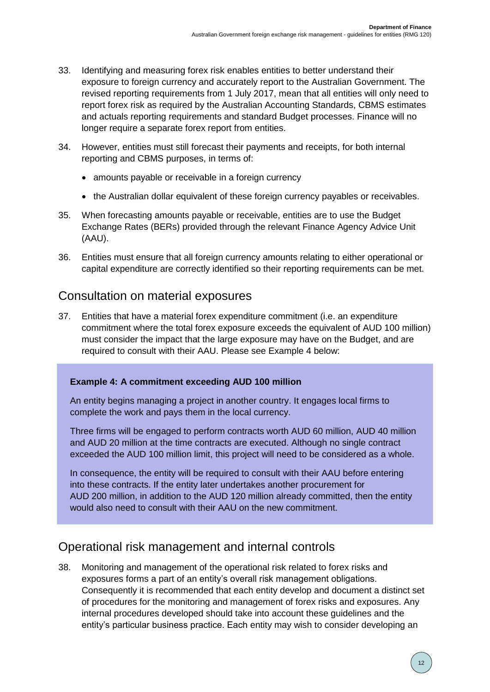- 33. Identifying and measuring forex risk enables entities to better understand their exposure to foreign currency and accurately report to the Australian Government. The revised reporting requirements from 1 July 2017, mean that all entities will only need to report forex risk as required by the Australian Accounting Standards, CBMS estimates and actuals reporting requirements and standard Budget processes. Finance will no longer require a separate forex report from entities.
- 34. However, entities must still forecast their payments and receipts, for both internal reporting and CBMS purposes, in terms of:
	- amounts payable or receivable in a foreign currency
	- the Australian dollar equivalent of these foreign currency payables or receivables.
- 35. When forecasting amounts payable or receivable, entities are to use the Budget Exchange Rates (BERs) provided through the relevant Finance Agency Advice Unit (AAU).
- 36. Entities must ensure that all foreign currency amounts relating to either operational or capital expenditure are correctly identified so their reporting requirements can be met.

## <span id="page-11-0"></span>Consultation on material exposures

37. Entities that have a material forex expenditure commitment (i.e. an expenditure commitment where the total forex exposure exceeds the equivalent of AUD 100 million) must consider the impact that the large exposure may have on the Budget, and are required to consult with their AAU. Please see Example 4 below:

### **Example 4: A commitment exceeding AUD 100 million**

An entity begins managing a project in another country. It engages local firms to complete the work and pays them in the local currency.

Three firms will be engaged to perform contracts worth AUD 60 million, AUD 40 million and AUD 20 million at the time contracts are executed. Although no single contract exceeded the AUD 100 million limit, this project will need to be considered as a whole.

In consequence, the entity will be required to consult with their AAU before entering into these contracts. If the entity later undertakes another procurement for AUD 200 million, in addition to the AUD 120 million already committed, then the entity would also need to consult with their AAU on the new commitment.

## <span id="page-11-1"></span>Operational risk management and internal controls

38. Monitoring and management of the operational risk related to forex risks and exposures forms a part of an entity's overall risk management obligations. Consequently it is recommended that each entity develop and document a distinct set of procedures for the monitoring and management of forex risks and exposures. Any internal procedures developed should take into account these guidelines and the entity's particular business practice. Each entity may wish to consider developing an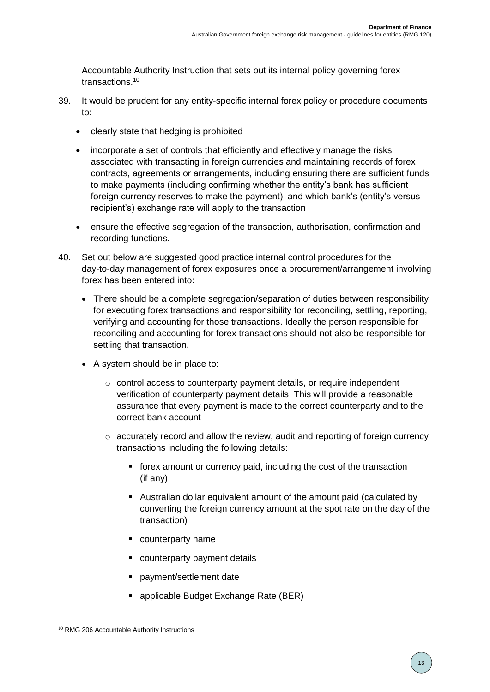Accountable Authority Instruction that sets out its internal policy governing forex transactions. 10

- 39. It would be prudent for any entity-specific internal forex policy or procedure documents to:
	- clearly state that hedging is prohibited
	- incorporate a set of controls that efficiently and effectively manage the risks associated with transacting in foreign currencies and maintaining records of forex contracts, agreements or arrangements, including ensuring there are sufficient funds to make payments (including confirming whether the entity's bank has sufficient foreign currency reserves to make the payment), and which bank's (entity's versus recipient's) exchange rate will apply to the transaction
	- ensure the effective segregation of the transaction, authorisation, confirmation and recording functions.
- 40. Set out below are suggested good practice internal control procedures for the day-to-day management of forex exposures once a procurement/arrangement involving forex has been entered into:
	- There should be a complete segregation/separation of duties between responsibility for executing forex transactions and responsibility for reconciling, settling, reporting, verifying and accounting for those transactions. Ideally the person responsible for reconciling and accounting for forex transactions should not also be responsible for settling that transaction.
	- A system should be in place to:
		- $\circ$  control access to counterparty payment details, or require independent verification of counterparty payment details. This will provide a reasonable assurance that every payment is made to the correct counterparty and to the correct bank account
		- $\circ$  accurately record and allow the review, audit and reporting of foreign currency transactions including the following details:
			- forex amount or currency paid, including the cost of the transaction (if any)
			- Australian dollar equivalent amount of the amount paid (calculated by converting the foreign currency amount at the spot rate on the day of the transaction)
			- **•** counterparty name
			- **•** counterparty payment details
			- payment/settlement date
			- applicable Budget Exchange Rate (BER)

<sup>10</sup> RMG 206 Accountable Authority Instructions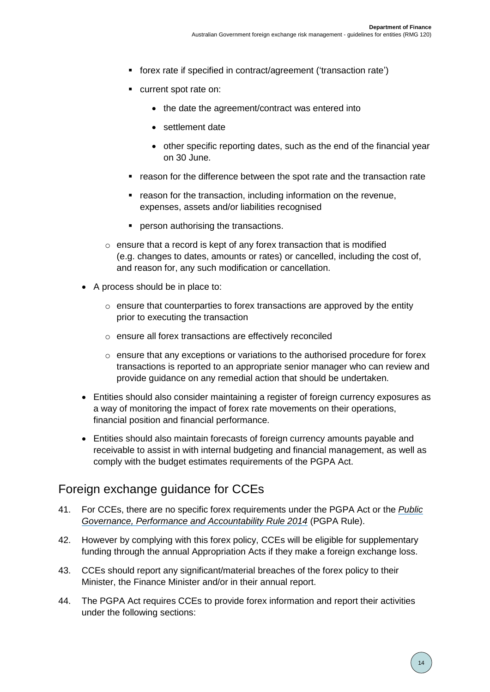- forex rate if specified in contract/agreement ('transaction rate')
- **Current spot rate on:** 
	- the date the agreement/contract was entered into
	- settlement date
	- other specific reporting dates, such as the end of the financial year on 30 June.
- reason for the difference between the spot rate and the transaction rate
- **F** reason for the transaction, including information on the revenue, expenses, assets and/or liabilities recognised
- **Person authorising the transactions.**
- o ensure that a record is kept of any forex transaction that is modified (e.g. changes to dates, amounts or rates) or cancelled, including the cost of, and reason for, any such modification or cancellation.
- A process should be in place to:
	- $\circ$  ensure that counterparties to forex transactions are approved by the entity prior to executing the transaction
	- o ensure all forex transactions are effectively reconciled
	- o ensure that any exceptions or variations to the authorised procedure for forex transactions is reported to an appropriate senior manager who can review and provide guidance on any remedial action that should be undertaken.
- Entities should also consider maintaining a register of foreign currency exposures as a way of monitoring the impact of forex rate movements on their operations, financial position and financial performance.
- Entities should also maintain forecasts of foreign currency amounts payable and receivable to assist in with internal budgeting and financial management, as well as comply with the budget estimates requirements of the PGPA Act.

## <span id="page-13-0"></span>Foreign exchange guidance for CCEs

- 41. For CCEs, there are no specific forex requirements under the PGPA Act or the *[Public](https://www.legislation.gov.au/Series/F2014L00911)  [Governance, Performance and Accountability Rule 2014](https://www.legislation.gov.au/Series/F2014L00911)* (PGPA Rule).
- 42. However by complying with this forex policy, CCEs will be eligible for supplementary funding through the annual Appropriation Acts if they make a foreign exchange loss.
- 43. CCEs should report any significant/material breaches of the forex policy to their Minister, the Finance Minister and/or in their annual report.
- 44. The PGPA Act requires CCEs to provide forex information and report their activities under the following sections: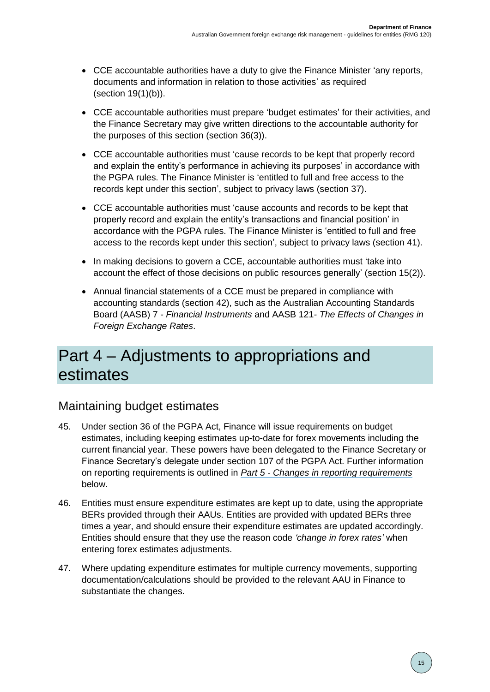- CCE accountable authorities have a duty to give the Finance Minister 'any reports, documents and information in relation to those activities' as required (section 19(1)(b)).
- CCE accountable authorities must prepare 'budget estimates' for their activities, and the Finance Secretary may give written directions to the accountable authority for the purposes of this section (section 36(3)).
- CCE accountable authorities must 'cause records to be kept that properly record and explain the entity's performance in achieving its purposes' in accordance with the PGPA rules. The Finance Minister is 'entitled to full and free access to the records kept under this section', subject to privacy laws (section 37).
- CCE accountable authorities must 'cause accounts and records to be kept that properly record and explain the entity's transactions and financial position' in accordance with the PGPA rules. The Finance Minister is 'entitled to full and free access to the records kept under this section', subject to privacy laws (section 41).
- In making decisions to govern a CCE, accountable authorities must 'take into account the effect of those decisions on public resources generally' (section 15(2)).
- Annual financial statements of a CCE must be prepared in compliance with accounting standards (section 42), such as the Australian Accounting Standards Board (AASB) 7 *- Financial Instruments* and AASB 121*- The Effects of Changes in Foreign Exchange Rates*.

## <span id="page-14-0"></span>Part 4 – Adjustments to appropriations and estimates

## <span id="page-14-1"></span>Maintaining budget estimates

- 45. Under section 36 of the PGPA Act, Finance will issue requirements on budget estimates, including keeping estimates up-to-date for forex movements including the current financial year. These powers have been delegated to the Finance Secretary or Finance Secretary's delegate under section 107 of the PGPA Act. Further information on reporting requirements is outlined in *Part 5 - [Changes in reporting requirements](#page-18-0)* below.
- 46. Entities must ensure expenditure estimates are kept up to date, using the appropriate BERs provided through their AAUs. Entities are provided with updated BERs three times a year, and should ensure their expenditure estimates are updated accordingly. Entities should ensure that they use the reason code *'change in forex rates'* when entering forex estimates adjustments.
- 47. Where updating expenditure estimates for multiple currency movements, supporting documentation/calculations should be provided to the relevant AAU in Finance to substantiate the changes.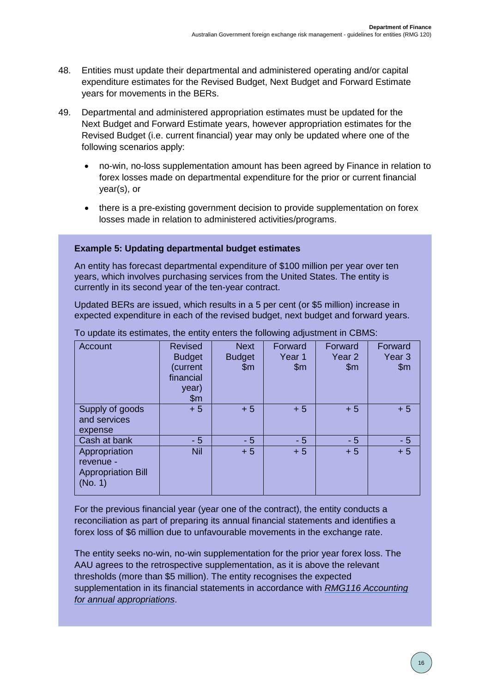- 48. Entities must update their departmental and administered operating and/or capital expenditure estimates for the Revised Budget, Next Budget and Forward Estimate years for movements in the BERs.
- 49. Departmental and administered appropriation estimates must be updated for the Next Budget and Forward Estimate years, however appropriation estimates for the Revised Budget (i.e. current financial) year may only be updated where one of the following scenarios apply:
	- no-win, no-loss supplementation amount has been agreed by Finance in relation to forex losses made on departmental expenditure for the prior or current financial year(s), or
	- there is a pre-existing government decision to provide supplementation on forex losses made in relation to administered activities/programs.

#### **Example 5: Updating departmental budget estimates**

An entity has forecast departmental expenditure of \$100 million per year over ten years, which involves purchasing services from the United States. The entity is currently in its second year of the ten-year contract.

Updated BERs are issued, which results in a 5 per cent (or \$5 million) increase in expected expenditure in each of the revised budget, next budget and forward years.

| Account                                                            | <b>Revised</b><br><b>Budget</b><br>(current<br>financial<br>year)<br>$\mathsf{Sm}$ | <b>Next</b><br><b>Budget</b><br>$\mathsf{Sm}$ | Forward<br>Year 1<br>$\mathsf{Sm}$ | Forward<br>Year <sub>2</sub><br>$\mathsf{Sm}$ | Forward<br>Year <sub>3</sub><br>\$m\$ |
|--------------------------------------------------------------------|------------------------------------------------------------------------------------|-----------------------------------------------|------------------------------------|-----------------------------------------------|---------------------------------------|
| Supply of goods<br>and services<br>expense                         | $+5$                                                                               | $+5$                                          | $+5$                               | $+5$                                          | $+5$                                  |
| Cash at bank                                                       | $-5$                                                                               | $-5$                                          | $-5$                               | - 5                                           | $-5$                                  |
| Appropriation<br>revenue -<br><b>Appropriation Bill</b><br>(No. 1) | <b>Nil</b>                                                                         | $+5$                                          | $+5$                               | $+5$                                          | $+5$                                  |

To update its estimates, the entity enters the following adjustment in CBMS:

For the previous financial year (year one of the contract), the entity conducts a reconciliation as part of preparing its annual financial statements and identifies a forex loss of \$6 million due to unfavourable movements in the exchange rate.

The entity seeks no-win, no-win supplementation for the prior year forex loss. The AAU agrees to the retrospective supplementation, as it is above the relevant thresholds (more than \$5 million). The entity recognises the expected supplementation in its financial statements in accordance with *[RMG116 Accounting](https://www.finance.gov.au/government/resource-management/list-number)  [for annual appropriations](https://www.finance.gov.au/government/resource-management/list-number)*.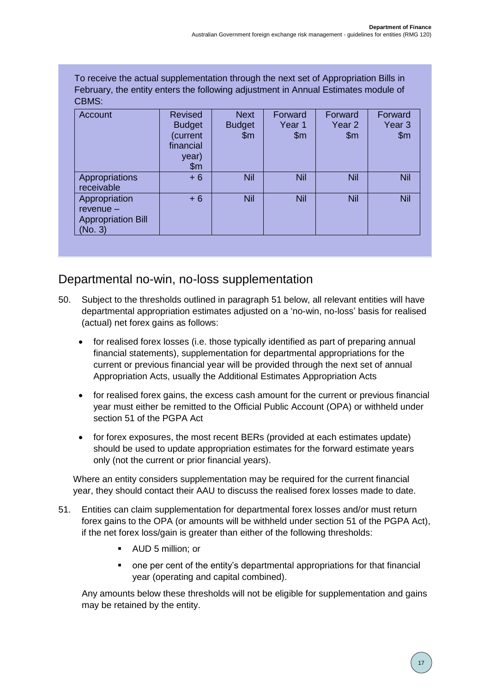To receive the actual supplementation through the next set of Appropriation Bills in February, the entity enters the following adjustment in Annual Estimates module of CBMS:

| Account                                                              | Revised<br><b>Budget</b><br>(current<br>financial<br>year)<br>\$m\$ | <b>Next</b><br><b>Budget</b><br>\$m\$ | Forward<br>Year 1<br>$\mathsf{m}$ | Forward<br>Year <sub>2</sub><br>$\mathsf{Sm}$ | Forward<br>Year <sub>3</sub><br>\$m |
|----------------------------------------------------------------------|---------------------------------------------------------------------|---------------------------------------|-----------------------------------|-----------------------------------------------|-------------------------------------|
| Appropriations<br>receivable                                         | $+6$                                                                | Nil                                   | Nil                               | <b>Nil</b>                                    | <b>Nil</b>                          |
| Appropriation<br>$revenue -$<br><b>Appropriation Bill</b><br>(No. 3) | $+6$                                                                | Nil                                   | Nil                               | <b>Nil</b>                                    | <b>Nil</b>                          |

## <span id="page-16-0"></span>Departmental no-win, no-loss supplementation

- 50. Subject to the thresholds outlined in paragraph 51 below, all relevant entities will have departmental appropriation estimates adjusted on a 'no-win, no-loss' basis for realised (actual) net forex gains as follows:
	- for realised forex losses (i.e. those typically identified as part of preparing annual financial statements), supplementation for departmental appropriations for the current or previous financial year will be provided through the next set of annual Appropriation Acts, usually the Additional Estimates Appropriation Acts
	- for realised forex gains, the excess cash amount for the current or previous financial year must either be remitted to the Official Public Account (OPA) or withheld under section 51 of the PGPA Act
	- for forex exposures, the most recent BERs (provided at each estimates update) should be used to update appropriation estimates for the forward estimate years only (not the current or prior financial years).

Where an entity considers supplementation may be required for the current financial year, they should contact their AAU to discuss the realised forex losses made to date.

- 51. Entities can claim supplementation for departmental forex losses and/or must return forex gains to the OPA (or amounts will be withheld under section 51 of the PGPA Act), if the net forex loss/gain is greater than either of the following thresholds:
	- AUD 5 million; or
	- one per cent of the entity's departmental appropriations for that financial year (operating and capital combined).

Any amounts below these thresholds will not be eligible for supplementation and gains may be retained by the entity.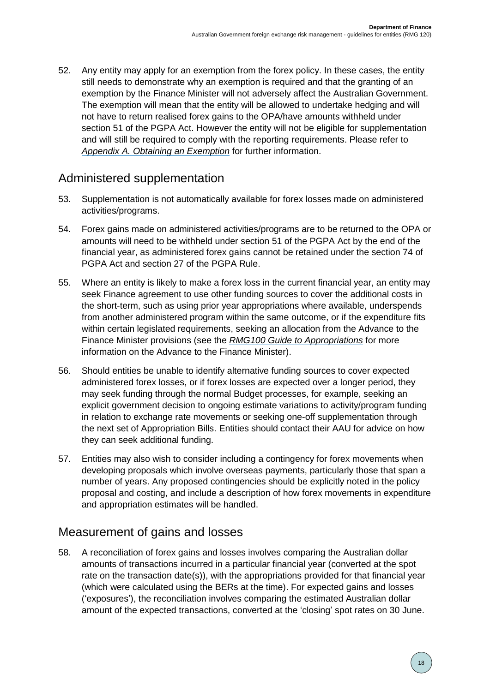52. Any entity may apply for an exemption from the forex policy. In these cases, the entity still needs to demonstrate why an exemption is required and that the granting of an exemption by the Finance Minister will not adversely affect the Australian Government. The exemption will mean that the entity will be allowed to undertake hedging and will not have to return realised forex gains to the OPA/have amounts withheld under section 51 of the PGPA Act. However the entity will not be eligible for supplementation and will still be required to comply with the reporting requirements. Please refer to *[Appendix A. Obtaining an Exemption](#page-23-0)* for further information.

## <span id="page-17-0"></span>Administered supplementation

- 53. Supplementation is not automatically available for forex losses made on administered activities/programs.
- 54. Forex gains made on administered activities/programs are to be returned to the OPA or amounts will need to be withheld under section 51 of the PGPA Act by the end of the financial year, as administered forex gains cannot be retained under the section 74 of PGPA Act and section 27 of the PGPA Rule.
- 55. Where an entity is likely to make a forex loss in the current financial year, an entity may seek Finance agreement to use other funding sources to cover the additional costs in the short-term, such as using prior year appropriations where available, underspends from another administered program within the same outcome, or if the expenditure fits within certain legislated requirements, seeking an allocation from the Advance to the Finance Minister provisions (see the *[RMG100 Guide to Appropriations](https://www.finance.gov.au/government/resource-management/list-number)* for more information on the Advance to the Finance Minister).
- 56. Should entities be unable to identify alternative funding sources to cover expected administered forex losses, or if forex losses are expected over a longer period, they may seek funding through the normal Budget processes, for example, seeking an explicit government decision to ongoing estimate variations to activity/program funding in relation to exchange rate movements or seeking one-off supplementation through the next set of Appropriation Bills. Entities should contact their AAU for advice on how they can seek additional funding.
- 57. Entities may also wish to consider including a contingency for forex movements when developing proposals which involve overseas payments, particularly those that span a number of years. Any proposed contingencies should be explicitly noted in the policy proposal and costing, and include a description of how forex movements in expenditure and appropriation estimates will be handled.

## <span id="page-17-1"></span>Measurement of gains and losses

58. A reconciliation of forex gains and losses involves comparing the Australian dollar amounts of transactions incurred in a particular financial year (converted at the spot rate on the transaction date(s)), with the appropriations provided for that financial year (which were calculated using the BERs at the time). For expected gains and losses ('exposures'), the reconciliation involves comparing the estimated Australian dollar amount of the expected transactions, converted at the 'closing' spot rates on 30 June.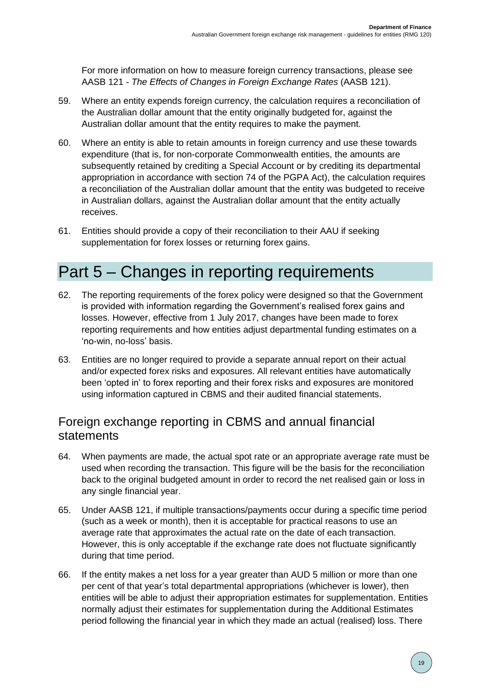For more information on how to measure foreign currency transactions, please see AASB 121 *- The Effects of Changes in Foreign Exchange Rates* (AASB 121).

- 59. Where an entity expends foreign currency, the calculation requires a reconciliation of the Australian dollar amount that the entity originally budgeted for, against the Australian dollar amount that the entity requires to make the payment.
- 60. Where an entity is able to retain amounts in foreign currency and use these towards expenditure (that is, for non-corporate Commonwealth entities, the amounts are subsequently retained by crediting a Special Account or by crediting its departmental appropriation in accordance with section 74 of the PGPA Act), the calculation requires a reconciliation of the Australian dollar amount that the entity was budgeted to receive in Australian dollars, against the Australian dollar amount that the entity actually receives.
- 61. Entities should provide a copy of their reconciliation to their AAU if seeking supplementation for forex losses or returning forex gains.

## <span id="page-18-0"></span>Part 5 – Changes in reporting requirements

- 62. The reporting requirements of the forex policy were designed so that the Government is provided with information regarding the Government's realised forex gains and losses. However, effective from 1 July 2017, changes have been made to forex reporting requirements and how entities adjust departmental funding estimates on a 'no-win, no-loss' basis.
- 63. Entities are no longer required to provide a separate annual report on their actual and/or expected forex risks and exposures. All relevant entities have automatically been 'opted in' to forex reporting and their forex risks and exposures are monitored using information captured in CBMS and their audited financial statements.

## <span id="page-18-1"></span>Foreign exchange reporting in CBMS and annual financial statements

- 64. When payments are made, the actual spot rate or an appropriate average rate must be used when recording the transaction. This figure will be the basis for the reconciliation back to the original budgeted amount in order to record the net realised gain or loss in any single financial year.
- 65. Under AASB 121, if multiple transactions/payments occur during a specific time period (such as a week or month), then it is acceptable for practical reasons to use an average rate that approximates the actual rate on the date of each transaction. However, this is only acceptable if the exchange rate does not fluctuate significantly during that time period.
- 66. If the entity makes a net loss for a year greater than AUD 5 million or more than one per cent of that year's total departmental appropriations (whichever is lower), then entities will be able to adjust their appropriation estimates for supplementation. Entities normally adjust their estimates for supplementation during the Additional Estimates period following the financial year in which they made an actual (realised) loss. There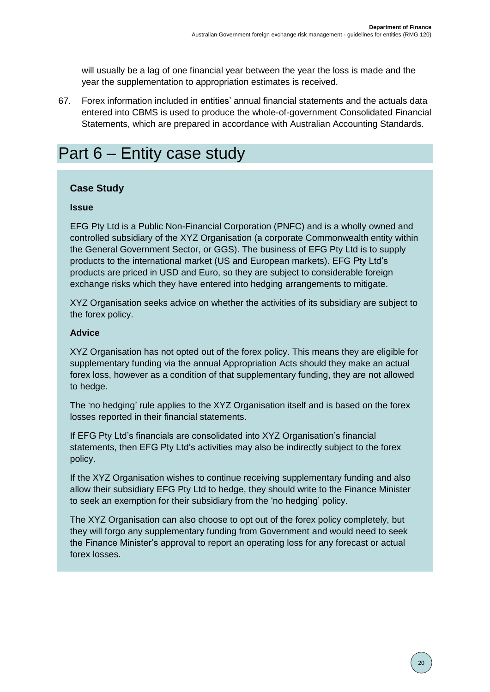will usually be a lag of one financial year between the year the loss is made and the year the supplementation to appropriation estimates is received.

67. Forex information included in entities' annual financial statements and the actuals data entered into CBMS is used to produce the whole-of-government Consolidated Financial Statements, which are prepared in accordance with Australian Accounting Standards.

## <span id="page-19-0"></span>Part 6 – Entity case study

#### **Case Study**

#### **Issue**

EFG Pty Ltd is a Public Non-Financial Corporation (PNFC) and is a wholly owned and controlled subsidiary of the XYZ Organisation (a corporate Commonwealth entity within the General Government Sector, or GGS). The business of EFG Pty Ltd is to supply products to the international market (US and European markets). EFG Pty Ltd's products are priced in USD and Euro, so they are subject to considerable foreign exchange risks which they have entered into hedging arrangements to mitigate.

XYZ Organisation seeks advice on whether the activities of its subsidiary are subject to the forex policy.

#### **Advice**

XYZ Organisation has not opted out of the forex policy. This means they are eligible for supplementary funding via the annual Appropriation Acts should they make an actual forex loss, however as a condition of that supplementary funding, they are not allowed to hedge.

The 'no hedging' rule applies to the XYZ Organisation itself and is based on the forex losses reported in their financial statements.

If EFG Pty Ltd's financials are consolidated into XYZ Organisation's financial statements, then EFG Pty Ltd's activities may also be indirectly subject to the forex policy.

If the XYZ Organisation wishes to continue receiving supplementary funding and also allow their subsidiary EFG Pty Ltd to hedge, they should write to the Finance Minister to seek an exemption for their subsidiary from the 'no hedging' policy.

The XYZ Organisation can also choose to opt out of the forex policy completely, but they will forgo any supplementary funding from Government and would need to seek the Finance Minister's approval to report an operating loss for any forecast or actual forex losses.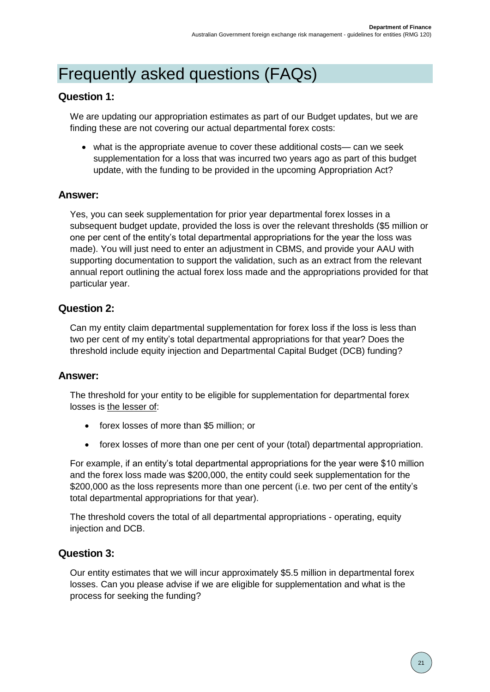## <span id="page-20-0"></span>Frequently asked questions (FAQs)

### **Question 1:**

We are updating our appropriation estimates as part of our Budget updates, but we are finding these are not covering our actual departmental forex costs:

 what is the appropriate avenue to cover these additional costs— can we seek supplementation for a loss that was incurred two years ago as part of this budget update, with the funding to be provided in the upcoming Appropriation Act?

## **Answer:**

Yes, you can seek supplementation for prior year departmental forex losses in a subsequent budget update, provided the loss is over the relevant thresholds (\$5 million or one per cent of the entity's total departmental appropriations for the year the loss was made). You will just need to enter an adjustment in CBMS, and provide your AAU with supporting documentation to support the validation, such as an extract from the relevant annual report outlining the actual forex loss made and the appropriations provided for that particular year.

### **Question 2:**

Can my entity claim departmental supplementation for forex loss if the loss is less than two per cent of my entity's total departmental appropriations for that year? Does the threshold include equity injection and Departmental Capital Budget (DCB) funding?

### **Answer:**

The threshold for your entity to be eligible for supplementation for departmental forex losses is the lesser of:

- forex losses of more than \$5 million; or
- forex losses of more than one per cent of your (total) departmental appropriation.

For example, if an entity's total departmental appropriations for the year were \$10 million and the forex loss made was \$200,000, the entity could seek supplementation for the \$200,000 as the loss represents more than one percent (i.e. two per cent of the entity's total departmental appropriations for that year).

The threshold covers the total of all departmental appropriations - operating, equity injection and DCB.

### **Question 3:**

Our entity estimates that we will incur approximately \$5.5 million in departmental forex losses. Can you please advise if we are eligible for supplementation and what is the process for seeking the funding?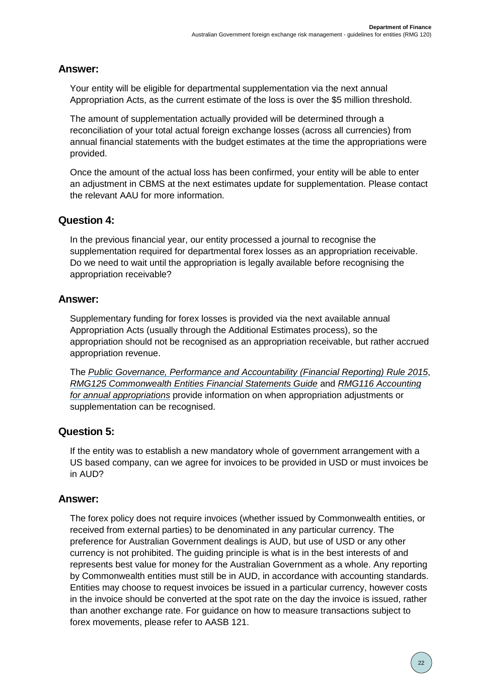## **Answer:**

Your entity will be eligible for departmental supplementation via the next annual Appropriation Acts, as the current estimate of the loss is over the \$5 million threshold.

The amount of supplementation actually provided will be determined through a reconciliation of your total actual foreign exchange losses (across all currencies) from annual financial statements with the budget estimates at the time the appropriations were provided.

Once the amount of the actual loss has been confirmed, your entity will be able to enter an adjustment in CBMS at the next estimates update for supplementation. Please contact the relevant AAU for more information.

## **Question 4:**

In the previous financial year, our entity processed a journal to recognise the supplementation required for departmental forex losses as an appropriation receivable. Do we need to wait until the appropriation is legally available before recognising the appropriation receivable?

## **Answer:**

Supplementary funding for forex losses is provided via the next available annual Appropriation Acts (usually through the Additional Estimates process), so the appropriation should not be recognised as an appropriation receivable, but rather accrued appropriation revenue.

The *[Public Governance, Performance and Accountability](https://www.legislation.gov.au/Series/F2015L00131) (Financial Reporting) Rule 2015*, *[RMG125 Commonwealth Entities Financial Statements Guide](https://www.finance.gov.au/government/resource-management/list-number)* and *[RMG116 Accounting](https://www.finance.gov.au/government/resource-management/list-number)  [for annual appropriations](https://www.finance.gov.au/government/resource-management/list-number)* provide information on when appropriation adjustments or supplementation can be recognised.

## **Question 5:**

If the entity was to establish a new mandatory whole of government arrangement with a US based company, can we agree for invoices to be provided in USD or must invoices be in AUD?

## **Answer:**

The forex policy does not require invoices (whether issued by Commonwealth entities, or received from external parties) to be denominated in any particular currency. The preference for Australian Government dealings is AUD, but use of USD or any other currency is not prohibited. The guiding principle is what is in the best interests of and represents best value for money for the Australian Government as a whole. Any reporting by Commonwealth entities must still be in AUD, in accordance with accounting standards. Entities may choose to request invoices be issued in a particular currency, however costs in the invoice should be converted at the spot rate on the day the invoice is issued, rather than another exchange rate. For guidance on how to measure transactions subject to forex movements, please refer to AASB 121.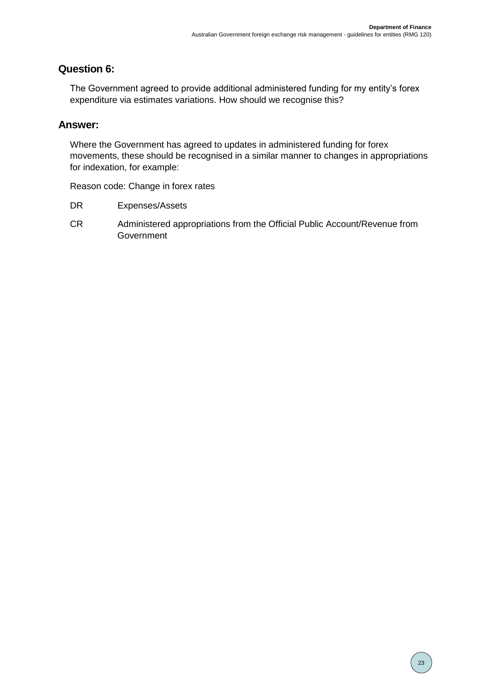## **Question 6:**

The Government agreed to provide additional administered funding for my entity's forex expenditure via estimates variations. How should we recognise this?

### **Answer:**

Where the Government has agreed to updates in administered funding for forex movements, these should be recognised in a similar manner to changes in appropriations for indexation, for example:

Reason code: Change in forex rates

- DR Expenses/Assets
- CR Administered appropriations from the Official Public Account/Revenue from Government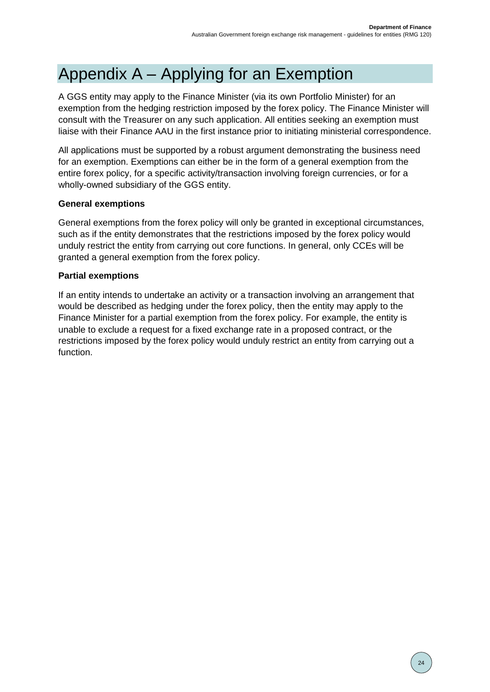# <span id="page-23-0"></span>Appendix A – Applying for an Exemption

A GGS entity may apply to the Finance Minister (via its own Portfolio Minister) for an exemption from the hedging restriction imposed by the forex policy. The Finance Minister will consult with the Treasurer on any such application. All entities seeking an exemption must liaise with their Finance AAU in the first instance prior to initiating ministerial correspondence.

All applications must be supported by a robust argument demonstrating the business need for an exemption. Exemptions can either be in the form of a general exemption from the entire forex policy, for a specific activity/transaction involving foreign currencies, or for a wholly-owned subsidiary of the GGS entity.

### **General exemptions**

General exemptions from the forex policy will only be granted in exceptional circumstances, such as if the entity demonstrates that the restrictions imposed by the forex policy would unduly restrict the entity from carrying out core functions. In general, only CCEs will be granted a general exemption from the forex policy.

#### **Partial exemptions**

If an entity intends to undertake an activity or a transaction involving an arrangement that would be described as hedging under the forex policy, then the entity may apply to the Finance Minister for a partial exemption from the forex policy. For example, the entity is unable to exclude a request for a fixed exchange rate in a proposed contract, or the restrictions imposed by the forex policy would unduly restrict an entity from carrying out a function.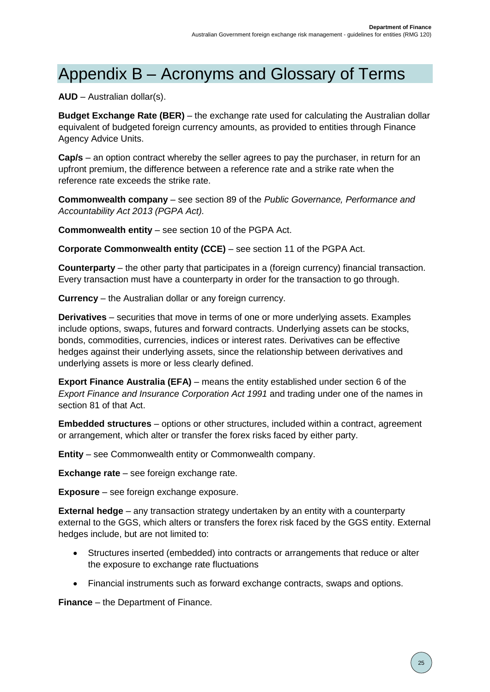## <span id="page-24-0"></span>Appendix B – Acronyms and Glossary of Terms

**AUD** – Australian dollar(s).

**Budget Exchange Rate (BER)** – the exchange rate used for calculating the Australian dollar equivalent of budgeted foreign currency amounts, as provided to entities through Finance Agency Advice Units.

**Cap/s** – an option contract whereby the seller agrees to pay the purchaser, in return for an upfront premium, the difference between a reference rate and a strike rate when the reference rate exceeds the strike rate.

**Commonwealth company** – see section 89 of the *Public Governance, Performance and Accountability Act 2013 (PGPA Act).*

**Commonwealth entity** – see section 10 of the PGPA Act.

**Corporate Commonwealth entity (CCE)** – see section 11 of the PGPA Act.

**Counterparty** – the other party that participates in a (foreign currency) financial transaction. Every transaction must have a counterparty in order for the transaction to go through.

**Currency** – the Australian dollar or any foreign currency.

**Derivatives** – securities that move in terms of one or more underlying assets. Examples include options, swaps, futures and forward contracts. Underlying assets can be stocks, bonds, commodities, currencies, indices or interest rates. Derivatives can be effective hedges against their underlying assets, since the relationship between derivatives and underlying assets is more or less clearly defined.

**Export Finance Australia (EFA)** – means the entity established under section 6 of the *Export Finance and Insurance Corporation Act 1991* and trading under one of the names in section 81 of that Act.

**Embedded structures** – options or other structures, included within a contract, agreement or arrangement, which alter or transfer the forex risks faced by either party.

**Entity** – see Commonwealth entity or Commonwealth company.

**Exchange rate** – see foreign exchange rate.

**Exposure** – see foreign exchange exposure.

**External hedge** – any transaction strategy undertaken by an entity with a counterparty external to the GGS, which alters or transfers the forex risk faced by the GGS entity. External hedges include, but are not limited to:

- Structures inserted (embedded) into contracts or arrangements that reduce or alter the exposure to exchange rate fluctuations
- Financial instruments such as forward exchange contracts, swaps and options.

**Finance** – the Department of Finance.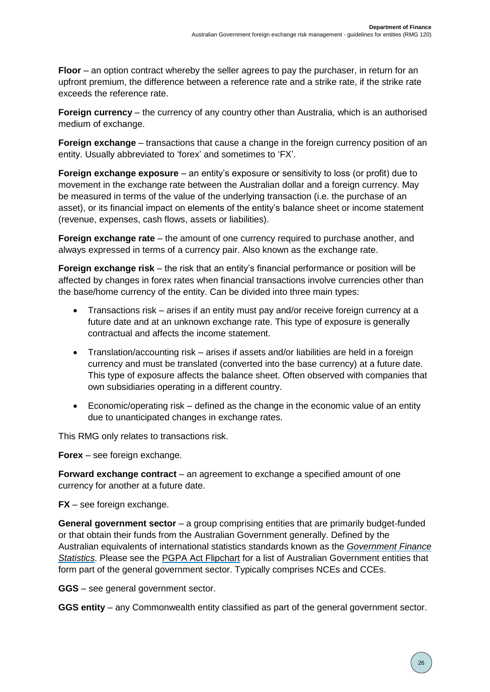**Floor** – an option contract whereby the seller agrees to pay the purchaser, in return for an upfront premium, the difference between a reference rate and a strike rate, if the strike rate exceeds the reference rate.

**Foreign currency** – the currency of any country other than Australia, which is an authorised medium of exchange.

**Foreign exchange** – transactions that cause a change in the foreign currency position of an entity. Usually abbreviated to 'forex' and sometimes to 'FX'.

**Foreign exchange exposure** – an entity's exposure or sensitivity to loss (or profit) due to movement in the exchange rate between the Australian dollar and a foreign currency. May be measured in terms of the value of the underlying transaction (i.e. the purchase of an asset), or its financial impact on elements of the entity's balance sheet or income statement (revenue, expenses, cash flows, assets or liabilities).

**Foreign exchange rate** – the amount of one currency required to purchase another, and always expressed in terms of a currency pair. Also known as the exchange rate.

**Foreign exchange risk** – the risk that an entity's financial performance or position will be affected by changes in forex rates when financial transactions involve currencies other than the base/home currency of the entity. Can be divided into three main types:

- Transactions risk arises if an entity must pay and/or receive foreign currency at a future date and at an unknown exchange rate. This type of exposure is generally contractual and affects the income statement.
- Translation/accounting risk arises if assets and/or liabilities are held in a foreign currency and must be translated (converted into the base currency) at a future date. This type of exposure affects the balance sheet. Often observed with companies that own subsidiaries operating in a different country.
- Economic/operating risk defined as the change in the economic value of an entity due to unanticipated changes in exchange rates.

This RMG only relates to transactions risk.

**Forex** – see foreign exchange.

**Forward exchange contract** – an agreement to exchange a specified amount of one currency for another at a future date.

**FX** – see foreign exchange.

**General government sector** – a group comprising entities that are primarily budget-funded or that obtain their funds from the Australian Government generally. Defined by the Australian equivalents of international statistics standards known as the *[Government](https://www.finance.gov.au/government/financial-reporting-and-accounting-policy/overview-commonwealth-financial-reporting/government-finance-statistics) Finance [Statistics](https://www.finance.gov.au/government/financial-reporting-and-accounting-policy/overview-commonwealth-financial-reporting/government-finance-statistics)*. Please see the [PGPA Act Flipchart](https://www.finance.gov.au/government/managing-commonwealth-resources/structure-australian-government-public-sector/pgpa-act-flipchart-and-list) for a list of Australian Government entities that form part of the general government sector. Typically comprises NCEs and CCEs.

**GGS** – see general government sector.

**GGS entity** – any Commonwealth entity classified as part of the general government sector.